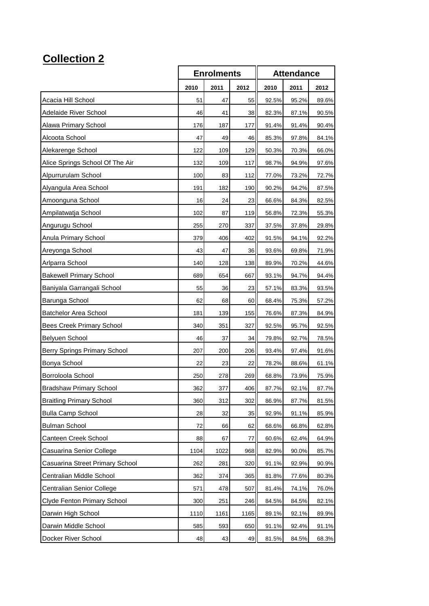## **Collection 2**

|                                    | <b>Enrolments</b> |      |      | <b>Attendance</b> |       |       |
|------------------------------------|-------------------|------|------|-------------------|-------|-------|
|                                    | 2010              | 2011 | 2012 | 2010              | 2011  | 2012  |
| Acacia Hill School                 | 51                | 47   | 55   | 92.5%             | 95.2% | 89.6% |
| Adelaide River School              | 46                | 41   | 38   | 82.3%             | 87.1% | 90.5% |
| Alawa Primary School               | 176               | 187  | 177  | 91.4%             | 91.4% | 90.4% |
| Alcoota School                     | 47                | 49   | 46   | 85.3%             | 97.8% | 84.1% |
| Alekarenge School                  | 122               | 109  | 129  | 50.3%             | 70.3% | 66.0% |
| Alice Springs School Of The Air    | 132               | 109  | 117  | 98.7%             | 94.9% | 97.6% |
| Alpurrurulam School                | 100               | 83   | 112  | 77.0%             | 73.2% | 72.7% |
| Alyangula Area School              | 191               | 182  | 190  | 90.2%             | 94.2% | 87.5% |
| Amoonguna School                   | 16                | 24   | 23   | 66.6%             | 84.3% | 82.5% |
| Ampilatwatja School                | 102               | 87   | 119  | 56.8%             | 72.3% | 55.3% |
| Angurugu School                    | 255               | 270  | 337  | 37.5%             | 37.8% | 29.8% |
| Anula Primary School               | 379               | 406  | 402  | 91.5%             | 94.1% | 92.2% |
| Areyonga School                    | 43                | 47   | 36   | 93.6%             | 69.8% | 71.9% |
| Arlparra School                    | 140               | 128  | 138  | 89.9%             | 70.2% | 44.6% |
| <b>Bakewell Primary School</b>     | 689               | 654  | 667  | 93.1%             | 94.7% | 94.4% |
| Baniyala Garrangali School         | 55                | 36   | 23   | 57.1%             | 83.3% | 93.5% |
| Barunga School                     | 62                | 68   | 60   | 68.4%             | 75.3% | 57.2% |
| <b>Batchelor Area School</b>       | 181               | 139  | 155  | 76.6%             | 87.3% | 84.9% |
| <b>Bees Creek Primary School</b>   | 340               | 351  | 327  | 92.5%             | 95.7% | 92.5% |
| Belyuen School                     | 46                | 37   | 34   | 79.8%             | 92.7% | 78.5% |
| Berry Springs Primary School       | 207               | 200  | 206  | 93.4%             | 97.4% | 91.6% |
| Bonya School                       | 22                | 23   | 22   | 78.2%             | 88.6% | 61.1% |
| Borroloola School                  | 250               | 278  | 269  | 68.8%             | 73.9% | 75.9% |
| <b>Bradshaw Primary School</b>     | 362               | 377  | 406  | 87.7%             | 92.1% | 87.7% |
| <b>Braitling Primary School</b>    | 360               | 312  | 302  | 86.9%             | 87.7% | 81.5% |
| <b>Bulla Camp School</b>           | 28                | 32   | 35   | 92.9%             | 91.1% | 85.9% |
| <b>Bulman School</b>               | 72                | 66   | 62   | 68.6%             | 66.8% | 62.8% |
| Canteen Creek School               | 88                | 67   | 77   | 60.6%             | 62.4% | 64.9% |
| Casuarina Senior College           | 1104              | 1022 | 968  | 82.9%             | 90.0% | 85.7% |
| Casuarina Street Primary School    | 262               | 281  | 320  | 91.1%             | 92.9% | 90.9% |
| Centralian Middle School           | 362               | 374  | 365  | 81.8%             | 77.6% | 80.3% |
| Centralian Senior College          | 571               | 478  | 507  | 81.4%             | 74.1% | 76.0% |
| <b>Clyde Fenton Primary School</b> | 300               | 251  | 246  | 84.5%             | 84.5% | 82.1% |
| Darwin High School                 | 1110              | 1161 | 1165 | 89.1%             | 92.1% | 89.9% |
| Darwin Middle School               | 585               | 593  | 650  | 91.1%             | 92.4% | 91.1% |
| Docker River School                | 48                | 43   | 49   | 81.5%             | 84.5% | 68.3% |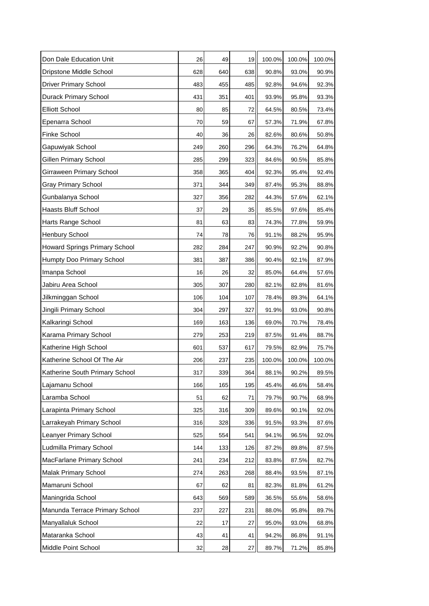| Don Dale Education Unit              | 26  | 49  | 19  | 100.0% | 100.0% | 100.0% |
|--------------------------------------|-----|-----|-----|--------|--------|--------|
| Dripstone Middle School              | 628 | 640 | 638 | 90.8%  | 93.0%  | 90.9%  |
| <b>Driver Primary School</b>         | 483 | 455 | 485 | 92.8%  | 94.6%  | 92.3%  |
| <b>Durack Primary School</b>         | 431 | 351 | 401 | 93.9%  | 95.8%  | 93.3%  |
| <b>Elliott School</b>                | 80  | 85  | 72  | 64.5%  | 80.5%  | 73.4%  |
| Epenarra School                      | 70  | 59  | 67  | 57.3%  | 71.9%  | 67.8%  |
| <b>Finke School</b>                  | 40  | 36  | 26  | 82.6%  | 80.6%  | 50.8%  |
| Gapuwiyak School                     | 249 | 260 | 296 | 64.3%  | 76.2%  | 64.8%  |
| Gillen Primary School                | 285 | 299 | 323 | 84.6%  | 90.5%  | 85.8%  |
| Girraween Primary School             | 358 | 365 | 404 | 92.3%  | 95.4%  | 92.4%  |
| <b>Gray Primary School</b>           | 371 | 344 | 349 | 87.4%  | 95.3%  | 88.8%  |
| Gunbalanya School                    | 327 | 356 | 282 | 44.3%  | 57.6%  | 62.1%  |
| <b>Haasts Bluff School</b>           | 37  | 29  | 35  | 85.5%  | 97.6%  | 85.4%  |
| Harts Range School                   | 81  | 63  | 83  | 74.3%  | 77.8%  | 59.9%  |
| <b>Henbury School</b>                | 74  | 78  | 76  | 91.1%  | 88.2%  | 95.9%  |
| <b>Howard Springs Primary School</b> | 282 | 284 | 247 | 90.9%  | 92.2%  | 90.8%  |
| Humpty Doo Primary School            | 381 | 387 | 386 | 90.4%  | 92.1%  | 87.9%  |
| Imanpa School                        | 16  | 26  | 32  | 85.0%  | 64.4%  | 57.6%  |
| Jabiru Area School                   | 305 | 307 | 280 | 82.1%  | 82.8%  | 81.6%  |
| Jilkminggan School                   | 106 | 104 | 107 | 78.4%  | 89.3%  | 64.1%  |
| Jingili Primary School               | 304 | 297 | 327 | 91.9%  | 93.0%  | 90.8%  |
| Kalkaringi School                    | 169 | 163 | 136 | 69.0%  | 70.7%  | 78.4%  |
| Karama Primary School                | 279 | 253 | 219 | 87.5%  | 91.4%  | 88.7%  |
| Katherine High School                | 601 | 537 | 617 | 79.5%  | 82.9%  | 75.7%  |
| Katherine School Of The Air          | 206 | 237 | 235 | 100.0% | 100.0% | 100.0% |
| Katherine South Primary School       | 317 | 339 | 364 | 88.1%  | 90.2%  | 89.5%  |
| Lajamanu School                      | 166 | 165 | 195 | 45.4%  | 46.6%  | 58.4%  |
| Laramba School                       | 51  | 62  | 71  | 79.7%  | 90.7%  | 68.9%  |
| Larapinta Primary School             | 325 | 316 | 309 | 89.6%  | 90.1%  | 92.0%  |
| Larrakeyah Primary School            | 316 | 328 | 336 | 91.5%  | 93.3%  | 87.6%  |
| <b>Leanyer Primary School</b>        | 525 | 554 | 541 | 94.1%  | 96.5%  | 92.0%  |
| Ludmilla Primary School              | 144 | 133 | 126 | 87.2%  | 89.8%  | 87.5%  |
| MacFarlane Primary School            | 241 | 234 | 212 | 83.8%  | 87.5%  | 82.7%  |
| <b>Malak Primary School</b>          | 274 | 263 | 268 | 88.4%  | 93.5%  | 87.1%  |
| Mamaruni School                      | 67  | 62  | 81  | 82.3%  | 81.8%  | 61.2%  |
| Maningrida School                    | 643 | 569 | 589 | 36.5%  | 55.6%  | 58.6%  |
| Manunda Terrace Primary School       | 237 | 227 | 231 | 88.0%  | 95.8%  | 89.7%  |
| Manyallaluk School                   | 22  | 17  | 27  | 95.0%  | 93.0%  | 68.8%  |
| Mataranka School                     | 43  | 41  | 41  | 94.2%  | 86.8%  | 91.1%  |
| Middle Point School                  | 32  | 28  | 27  | 89.7%  | 71.2%  | 85.8%  |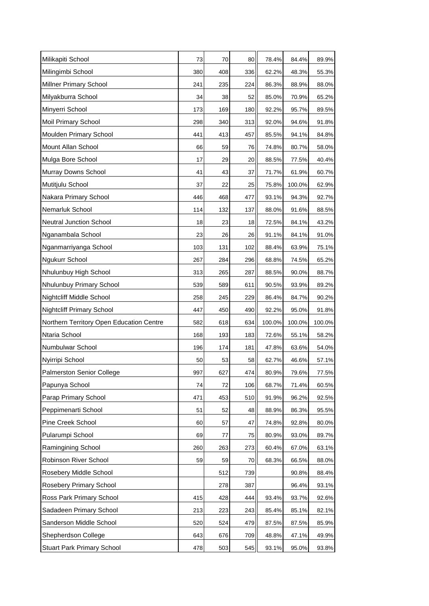| Milikapiti School                        | 73  | 70  | 80  | 78.4%  | 84.4%  | 89.9%  |
|------------------------------------------|-----|-----|-----|--------|--------|--------|
| Milingimbi School                        | 380 | 408 | 336 | 62.2%  | 48.3%  | 55.3%  |
| Millner Primary School                   | 241 | 235 | 224 | 86.3%  | 88.9%  | 88.0%  |
| Milyakburra School                       | 34  | 38  | 52  | 85.0%  | 70.9%  | 65.2%  |
| Minyerri School                          | 173 | 169 | 180 | 92.2%  | 95.7%  | 89.5%  |
| Moil Primary School                      | 298 | 340 | 313 | 92.0%  | 94.6%  | 91.8%  |
| Moulden Primary School                   | 441 | 413 | 457 | 85.5%  | 94.1%  | 84.8%  |
| Mount Allan School                       | 66  | 59  | 76  | 74.8%  | 80.7%  | 58.0%  |
| Mulga Bore School                        | 17  | 29  | 20  | 88.5%  | 77.5%  | 40.4%  |
| Murray Downs School                      | 41  | 43  | 37  | 71.7%  | 61.9%  | 60.7%  |
| Mutitjulu School                         | 37  | 22  | 25  | 75.8%  | 100.0% | 62.9%  |
| Nakara Primary School                    | 446 | 468 | 477 | 93.1%  | 94.3%  | 92.7%  |
| Nemarluk School                          | 114 | 132 | 137 | 88.0%  | 91.6%  | 88.5%  |
| <b>Neutral Junction School</b>           | 18  | 23  | 18  | 72.5%  | 84.1%  | 43.2%  |
| Nganambala School                        | 23  | 26  | 26  | 91.1%  | 84.1%  | 91.0%  |
| Nganmarriyanga School                    | 103 | 131 | 102 | 88.4%  | 63.9%  | 75.1%  |
| Ngukurr School                           | 267 | 284 | 296 | 68.8%  | 74.5%  | 65.2%  |
| Nhulunbuy High School                    | 313 | 265 | 287 | 88.5%  | 90.0%  | 88.7%  |
| Nhulunbuy Primary School                 | 539 | 589 | 611 | 90.5%  | 93.9%  | 89.2%  |
| Nightcliff Middle School                 | 258 | 245 | 229 | 86.4%  | 84.7%  | 90.2%  |
| <b>Nightcliff Primary School</b>         | 447 | 450 | 490 | 92.2%  | 95.0%  | 91.8%  |
| Northern Territory Open Education Centre | 582 | 618 | 634 | 100.0% | 100.0% | 100.0% |
| Ntaria School                            | 168 | 193 | 183 | 72.6%  | 55.1%  | 58.2%  |
| Numbulwar School                         | 196 | 174 | 181 | 47.8%  | 63.6%  | 54.0%  |
| Nyirripi School                          | 50  | 53  | 58  | 62.7%  | 46.6%  | 57.1%  |
| Palmerston Senior College                | 997 | 627 | 474 | 80.9%  | 79.6%  | 77.5%  |
| Papunya School                           | 74  | 72  | 106 | 68.7%  | 71.4%  | 60.5%  |
| Parap Primary School                     | 471 | 453 | 510 | 91.9%  | 96.2%  | 92.5%  |
| Peppimenarti School                      | 51  | 52  | 48  | 88.9%  | 86.3%  | 95.5%  |
| Pine Creek School                        | 60  | 57  | 47  | 74.8%  | 92.8%  | 80.0%  |
| Pularumpi School                         | 69  | 77  | 75  | 80.9%  | 93.0%  | 89.7%  |
| Ramingining School                       | 260 | 263 | 273 | 60.4%  | 67.0%  | 63.1%  |
| Robinson River School                    | 59  | 59  | 70  | 68.3%  | 66.5%  | 88.0%  |
| Rosebery Middle School                   |     | 512 | 739 |        | 90.8%  | 88.4%  |
| Rosebery Primary School                  |     | 278 | 387 |        | 96.4%  | 93.1%  |
| Ross Park Primary School                 | 415 | 428 | 444 | 93.4%  | 93.7%  | 92.6%  |
| Sadadeen Primary School                  | 213 | 223 | 243 | 85.4%  | 85.1%  | 82.1%  |
| Sanderson Middle School                  | 520 | 524 | 479 | 87.5%  | 87.5%  | 85.9%  |
| Shepherdson College                      | 643 | 676 | 709 | 48.8%  | 47.1%  | 49.9%  |
| <b>Stuart Park Primary School</b>        | 478 | 503 | 545 | 93.1%  | 95.0%  | 93.8%  |